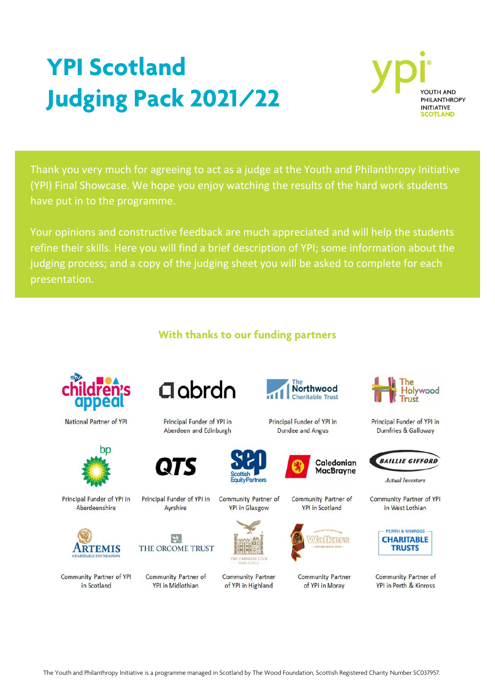# **YPI Scotland Judging Pack 2021/22**



Thank you very much for agreeing to act as a judge at the Youth and Philanthropy Initiative (YPI) Final Showcase. We hope you enjoy watching the results of the hard work students have put in to the programme.

Your opinions and constructive feedback are much appreciated and will help the students refine their skills. Here you will find a brief description of YPI; some information about the judging process; and a copy of the judging sheet you will be asked to complete for each presentation.

### **With thanks to our funding partners**



National Partner of YPI



Principal Funder of YPI in Aberdeenshire



Community Partner of YPI in Scotland



Principal Funder of YPI in Aberdeen and Edinburgh



Principal Funder of YPI in Ayrshire



Community Partner of **YPI in Midlothian** 



Community Partner of **YPI in Glasgow** 



**Community Partner** of YPI in Highland



Principal Funder of YPI in **Dundee and Angus** 



Community Partner of **YPI** in Scotland



**Community Partner** of YPI in Moray



Principal Funder of YPI in Dumfries & Galloway



**Actual Investors** 

Community Partner of YPI in West Lothian



Community Partner of YPI in Perth & Kinross

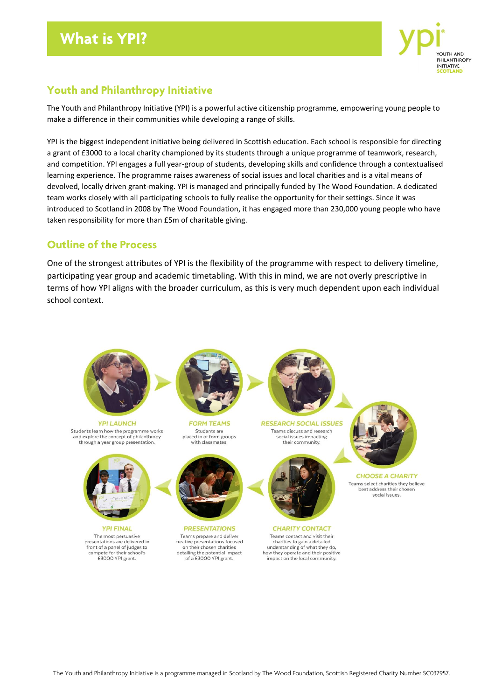

### **Youth and Philanthropy Initiative**

The Youth and Philanthropy Initiative (YPI) is a powerful active citizenship programme, empowering young people to make a difference in their communities while developing a range of skills.

YPI is the biggest independent initiative being delivered in Scottish education. Each school is responsible for directing a grant of £3000 to a local charity championed by its students through a unique programme of teamwork, research, and competition. YPI engages a full year-group of students, developing skills and confidence through a contextualised learning experience. The programme raises awareness of social issues and local charities and is a vital means of devolved, locally driven grant-making. YPI is managed and principally funded by The Wood Foundation. A dedicated team works closely with all participating schools to fully realise the opportunity for their settings. Since it was introduced to Scotland in 2008 by The Wood Foundation, it has engaged more than 230,000 young people who have taken responsibility for more than £5m of charitable giving.

### **Outline of the Process**

One of the strongest attributes of YPI is the flexibility of the programme with respect to delivery timeline, participating year group and academic timetabling. With this in mind, we are not overly prescriptive in terms of how YPI aligns with the broader curriculum, as this is very much dependent upon each individual school context.

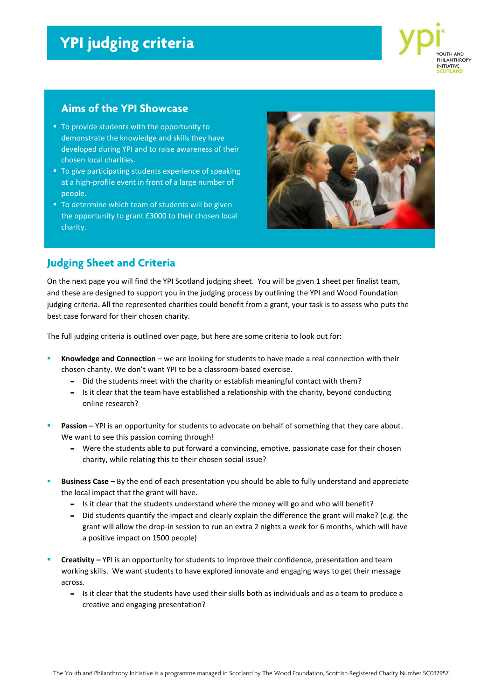### **YPI judging criteria**



#### **Aims of the YPI Showcase**

- To provide students with the opportunity to demonstrate the knowledge and skills they have developed during YPI and to raise awareness of their chosen local charities.
- **To give participating students experience of speaking** at a high-profile event in front of a large number of people.
- To determine which team of students will be given the opportunity to grant £3000 to their chosen local charity.



### **Judging Sheet and Criteria**

On the next page you will find the YPI Scotland judging sheet. You will be given 1 sheet per finalist team, and these are designed to support you in the judging process by outlining the YPI and Wood Foundation judging criteria. All the represented charities could benefit from a grant, your task is to assess who puts the best case forward for their chosen charity.

The full judging criteria is outlined over page, but here are some criteria to look out for:

- **Knowledge and Connection** we are looking for students to have made a real connection with their chosen charity. We don't want YPI to be a classroom-based exercise.
	- Did the students meet with the charity or establish meaningful contact with them?
	- Is it clear that the team have established a relationship with the charity, beyond conducting online research?
- Passion YPI is an opportunity for students to advocate on behalf of something that they care about. We want to see this passion coming through!
	- Were the students able to put forward a convincing, emotive, passionate case for their chosen charity, while relating this to their chosen social issue?
- **Business Case By the end of each presentation you should be able to fully understand and appreciate** the local impact that the grant will have.
	- Is it clear that the students understand where the money will go and who will benefit?
	- Did students quantify the impact and clearly explain the difference the grant will make? (e.g. the grant will allow the drop-in session to run an extra 2 nights a week for 6 months, which will have a positive impact on 1500 people)
- **Creativity –** YPI is an opportunity for students to improve their confidence, presentation and team working skills. We want students to have explored innovate and engaging ways to get their message across.
	- Is it clear that the students have used their skills both as individuals and as a team to produce a creative and engaging presentation?